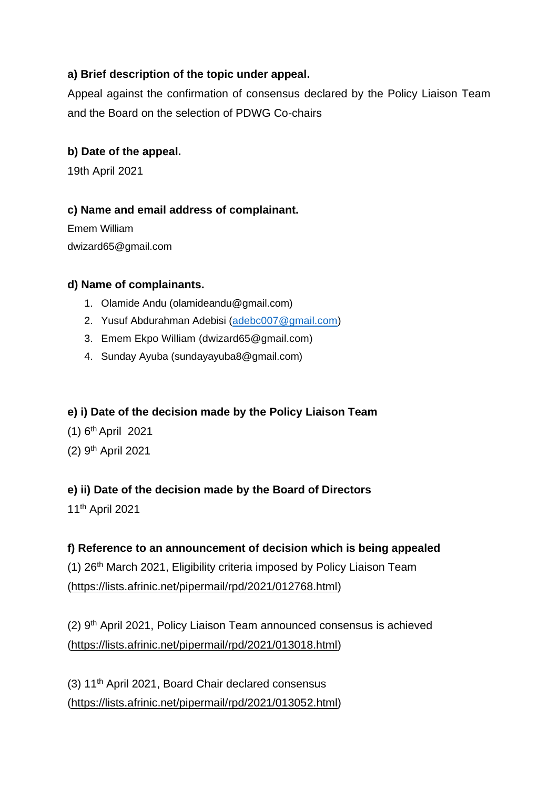# **a) Brief description of the topic under appeal.**

Appeal against the confirmation of consensus declared by the Policy Liaison Team and the Board on the selection of PDWG Co-chairs

## **b) Date of the appeal.**

19th April 2021

## **c) Name and email address of complainant.**

Emem William dwizard65@gmail.com

## **d) Name of complainants.**

- 1. Olamide Andu (olamideandu@gmail.com)
- 2. Yusuf Abdurahman Adebisi [\(adebc007@gmail.com\)](mailto:adebc007@gmail.com)
- 3. Emem Ekpo William (dwizard65@gmail.com)
- 4. Sunday Ayuba (sundayayuba8@gmail.com)

## **e) i) Date of the decision made by the Policy Liaison Team**

- (1) 6 th April 2021
- (2) 9<sup>th</sup> April 2021

## **e) ii) Date of the decision made by the Board of Directors**

11th April 2021

## **f) Reference to an announcement of decision which is being appealed**

(1) 26th March 2021, Eligibility criteria imposed by Policy Liaison Team [\(https://lists.afrinic.net/pipermail/rpd/2021/012768.html\)](https://lists.afrinic.net/pipermail/rpd/2021/012768.html)

(2) 9th April 2021, Policy Liaison Team announced consensus is achieved [\(https://lists.afrinic.net/pipermail/rpd/2021/013018.html\)](https://lists.afrinic.net/pipermail/rpd/2021/013018.html)

(3) 11th April 2021, Board Chair declared consensus [\(https://lists.afrinic.net/pipermail/rpd/2021/013052.html\)](https://lists.afrinic.net/pipermail/rpd/2021/013052.html)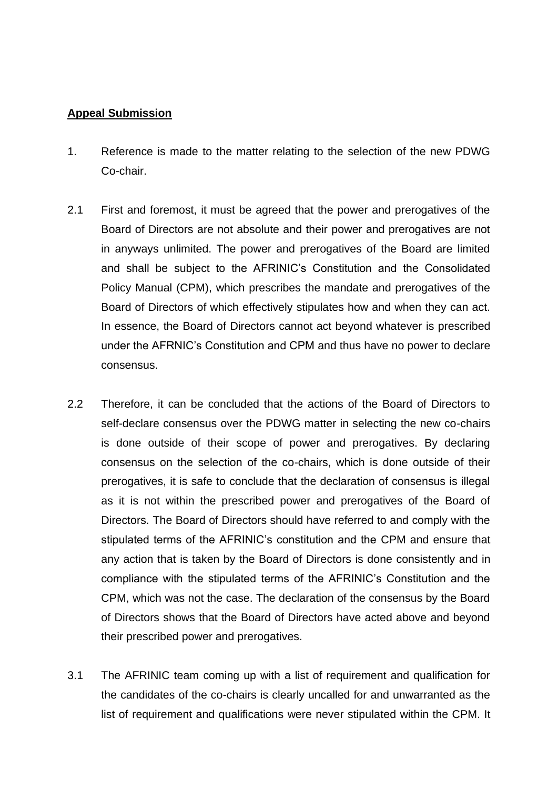### **Appeal Submission**

- 1. Reference is made to the matter relating to the selection of the new PDWG Co-chair.
- 2.1 First and foremost, it must be agreed that the power and prerogatives of the Board of Directors are not absolute and their power and prerogatives are not in anyways unlimited. The power and prerogatives of the Board are limited and shall be subject to the AFRINIC's Constitution and the Consolidated Policy Manual (CPM), which prescribes the mandate and prerogatives of the Board of Directors of which effectively stipulates how and when they can act. In essence, the Board of Directors cannot act beyond whatever is prescribed under the AFRNIC's Constitution and CPM and thus have no power to declare consensus.
- 2.2 Therefore, it can be concluded that the actions of the Board of Directors to self-declare consensus over the PDWG matter in selecting the new co-chairs is done outside of their scope of power and prerogatives. By declaring consensus on the selection of the co-chairs, which is done outside of their prerogatives, it is safe to conclude that the declaration of consensus is illegal as it is not within the prescribed power and prerogatives of the Board of Directors. The Board of Directors should have referred to and comply with the stipulated terms of the AFRINIC's constitution and the CPM and ensure that any action that is taken by the Board of Directors is done consistently and in compliance with the stipulated terms of the AFRINIC's Constitution and the CPM, which was not the case. The declaration of the consensus by the Board of Directors shows that the Board of Directors have acted above and beyond their prescribed power and prerogatives.
- 3.1 The AFRINIC team coming up with a list of requirement and qualification for the candidates of the co-chairs is clearly uncalled for and unwarranted as the list of requirement and qualifications were never stipulated within the CPM. It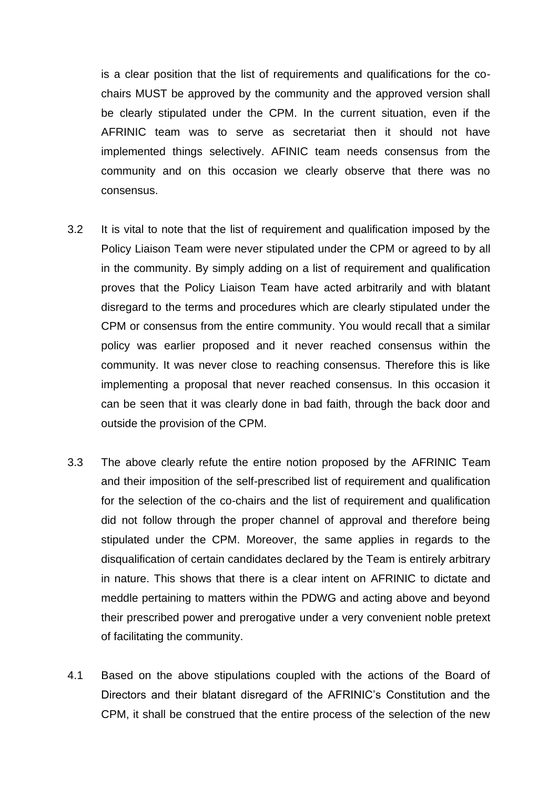is a clear position that the list of requirements and qualifications for the cochairs MUST be approved by the community and the approved version shall be clearly stipulated under the CPM. In the current situation, even if the AFRINIC team was to serve as secretariat then it should not have implemented things selectively. AFINIC team needs consensus from the community and on this occasion we clearly observe that there was no consensus.

- 3.2 It is vital to note that the list of requirement and qualification imposed by the Policy Liaison Team were never stipulated under the CPM or agreed to by all in the community. By simply adding on a list of requirement and qualification proves that the Policy Liaison Team have acted arbitrarily and with blatant disregard to the terms and procedures which are clearly stipulated under the CPM or consensus from the entire community. You would recall that a similar policy was earlier proposed and it never reached consensus within the community. It was never close to reaching consensus. Therefore this is like implementing a proposal that never reached consensus. In this occasion it can be seen that it was clearly done in bad faith, through the back door and outside the provision of the CPM.
- 3.3 The above clearly refute the entire notion proposed by the AFRINIC Team and their imposition of the self-prescribed list of requirement and qualification for the selection of the co-chairs and the list of requirement and qualification did not follow through the proper channel of approval and therefore being stipulated under the CPM. Moreover, the same applies in regards to the disqualification of certain candidates declared by the Team is entirely arbitrary in nature. This shows that there is a clear intent on AFRINIC to dictate and meddle pertaining to matters within the PDWG and acting above and beyond their prescribed power and prerogative under a very convenient noble pretext of facilitating the community.
- 4.1 Based on the above stipulations coupled with the actions of the Board of Directors and their blatant disregard of the AFRINIC's Constitution and the CPM, it shall be construed that the entire process of the selection of the new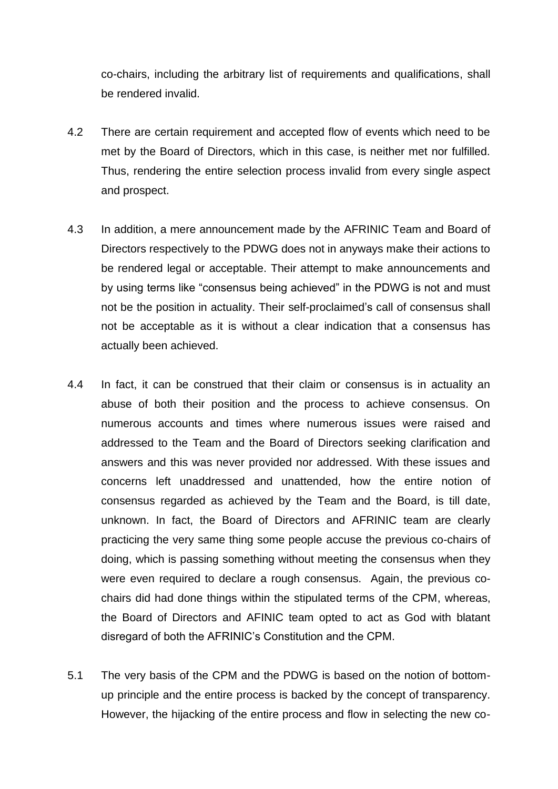co-chairs, including the arbitrary list of requirements and qualifications, shall be rendered invalid.

- 4.2 There are certain requirement and accepted flow of events which need to be met by the Board of Directors, which in this case, is neither met nor fulfilled. Thus, rendering the entire selection process invalid from every single aspect and prospect.
- 4.3 In addition, a mere announcement made by the AFRINIC Team and Board of Directors respectively to the PDWG does not in anyways make their actions to be rendered legal or acceptable. Their attempt to make announcements and by using terms like "consensus being achieved" in the PDWG is not and must not be the position in actuality. Their self-proclaimed's call of consensus shall not be acceptable as it is without a clear indication that a consensus has actually been achieved.
- 4.4 In fact, it can be construed that their claim or consensus is in actuality an abuse of both their position and the process to achieve consensus. On numerous accounts and times where numerous issues were raised and addressed to the Team and the Board of Directors seeking clarification and answers and this was never provided nor addressed. With these issues and concerns left unaddressed and unattended, how the entire notion of consensus regarded as achieved by the Team and the Board, is till date, unknown. In fact, the Board of Directors and AFRINIC team are clearly practicing the very same thing some people accuse the previous co-chairs of doing, which is passing something without meeting the consensus when they were even required to declare a rough consensus. Again, the previous cochairs did had done things within the stipulated terms of the CPM, whereas, the Board of Directors and AFINIC team opted to act as God with blatant disregard of both the AFRINIC's Constitution and the CPM.
- 5.1 The very basis of the CPM and the PDWG is based on the notion of bottomup principle and the entire process is backed by the concept of transparency. However, the hijacking of the entire process and flow in selecting the new co-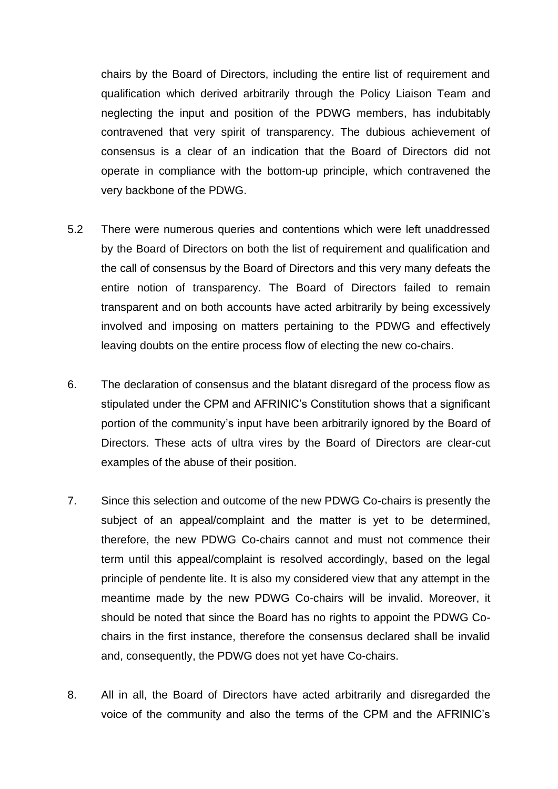chairs by the Board of Directors, including the entire list of requirement and qualification which derived arbitrarily through the Policy Liaison Team and neglecting the input and position of the PDWG members, has indubitably contravened that very spirit of transparency. The dubious achievement of consensus is a clear of an indication that the Board of Directors did not operate in compliance with the bottom-up principle, which contravened the very backbone of the PDWG.

- 5.2 There were numerous queries and contentions which were left unaddressed by the Board of Directors on both the list of requirement and qualification and the call of consensus by the Board of Directors and this very many defeats the entire notion of transparency. The Board of Directors failed to remain transparent and on both accounts have acted arbitrarily by being excessively involved and imposing on matters pertaining to the PDWG and effectively leaving doubts on the entire process flow of electing the new co-chairs.
- 6. The declaration of consensus and the blatant disregard of the process flow as stipulated under the CPM and AFRINIC's Constitution shows that a significant portion of the community's input have been arbitrarily ignored by the Board of Directors. These acts of ultra vires by the Board of Directors are clear-cut examples of the abuse of their position.
- 7. Since this selection and outcome of the new PDWG Co-chairs is presently the subject of an appeal/complaint and the matter is yet to be determined, therefore, the new PDWG Co-chairs cannot and must not commence their term until this appeal/complaint is resolved accordingly, based on the legal principle of pendente lite. It is also my considered view that any attempt in the meantime made by the new PDWG Co-chairs will be invalid. Moreover, it should be noted that since the Board has no rights to appoint the PDWG Cochairs in the first instance, therefore the consensus declared shall be invalid and, consequently, the PDWG does not yet have Co-chairs.
- 8. All in all, the Board of Directors have acted arbitrarily and disregarded the voice of the community and also the terms of the CPM and the AFRINIC's